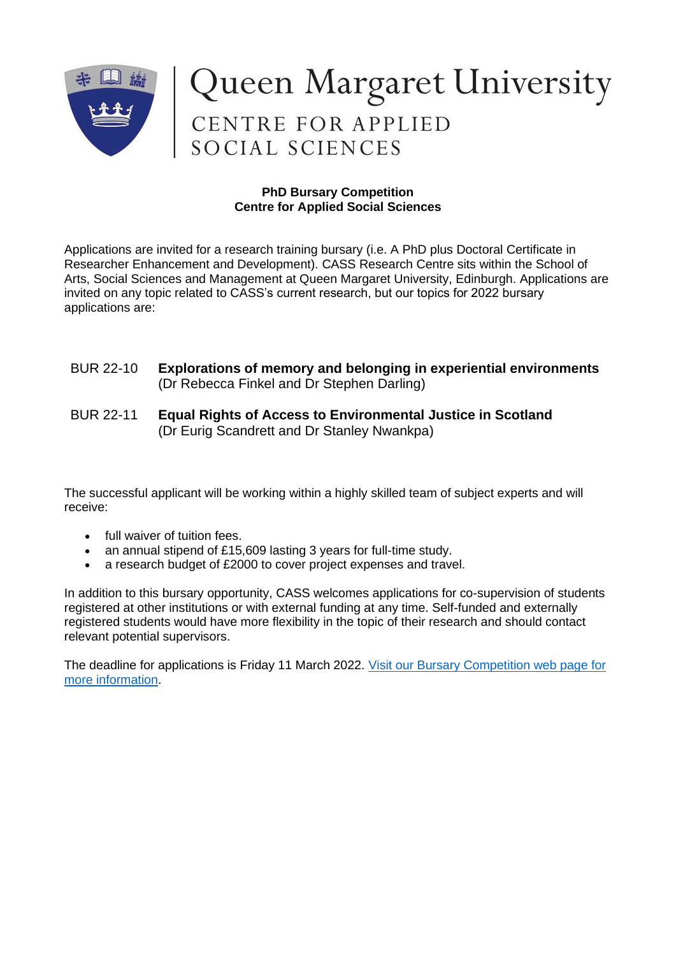

# Queen Margaret University<br>CENTRE FOR APPLIED<br>SOCIAL SCIENCES

## **PhD Bursary Competition Centre for Applied Social Sciences**

Applications are invited for a research training bursary (i.e. A PhD plus Doctoral Certificate in Researcher Enhancement and Development). CASS Research Centre sits within the School of Arts, Social Sciences and Management at Queen Margaret University, Edinburgh. Applications are invited on any topic related to CASS's current research, but our topics for 2022 bursary applications are:

## BUR 22-10 **Explorations of memory and belonging in experiential environments**  (Dr Rebecca Finkel and Dr Stephen Darling)

## BUR 22-11 **Equal Rights of Access to Environmental Justice in Scotland**  (Dr Eurig Scandrett and Dr Stanley Nwankpa)

The successful applicant will be working within a highly skilled team of subject experts and will receive:

- full waiver of tuition fees.
- an annual stipend of £15,609 lasting 3 years for full-time study.
- a research budget of £2000 to cover project expenses and travel.

In addition to this bursary opportunity, CASS welcomes applications for co-supervision of students registered at other institutions or with external funding at any time. Self-funded and externally registered students would have more flexibility in the topic of their research and should contact relevant potential supervisors.

The deadline for applications is Friday 11 March 2022. [Visit our Bursary Competition web page for](https://www.qmu.ac.uk/study-here/postgraduate-research-study/graduate-school-and-doctoral-research/phd-bursary-competition/)  more [information.](https://www.qmu.ac.uk/study-here/postgraduate-research-study/graduate-school-and-doctoral-research/phd-bursary-competition/)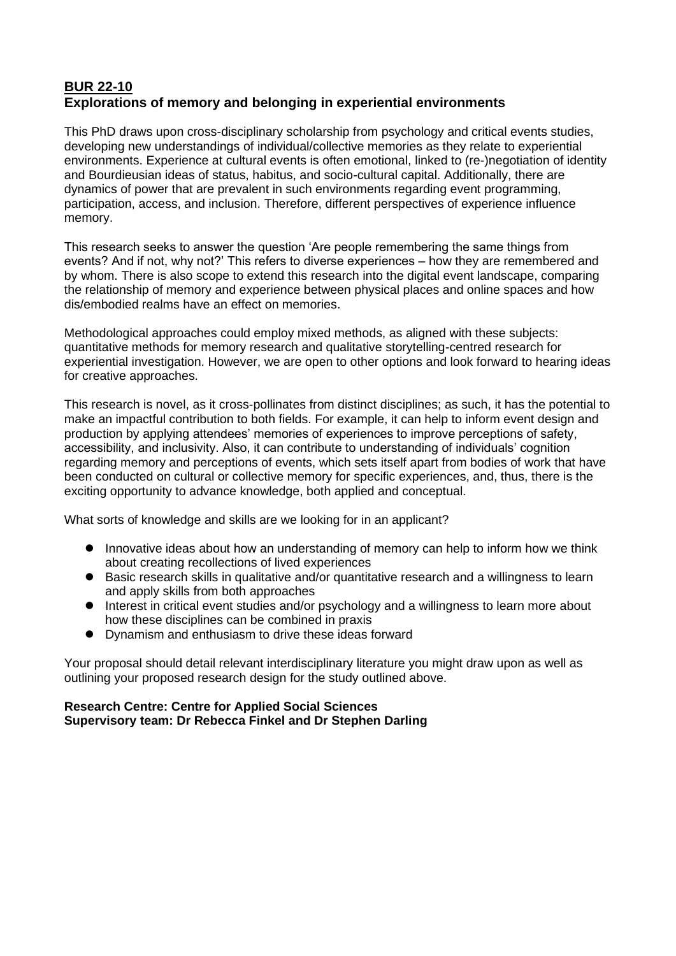# **BUR 22-10 Explorations of memory and belonging in experiential environments**

This PhD draws upon cross-disciplinary scholarship from psychology and critical events studies, developing new understandings of individual/collective memories as they relate to experiential environments. Experience at cultural events is often emotional, linked to (re-)negotiation of identity and Bourdieusian ideas of status, habitus, and socio-cultural capital. Additionally, there are dynamics of power that are prevalent in such environments regarding event programming, participation, access, and inclusion. Therefore, different perspectives of experience influence memory.

This research seeks to answer the question 'Are people remembering the same things from events? And if not, why not?' This refers to diverse experiences – how they are remembered and by whom. There is also scope to extend this research into the digital event landscape, comparing the relationship of memory and experience between physical places and online spaces and how dis/embodied realms have an effect on memories.

Methodological approaches could employ mixed methods, as aligned with these subjects: quantitative methods for memory research and qualitative storytelling-centred research for experiential investigation. However, we are open to other options and look forward to hearing ideas for creative approaches.

This research is novel, as it cross-pollinates from distinct disciplines; as such, it has the potential to make an impactful contribution to both fields. For example, it can help to inform event design and production by applying attendees' memories of experiences to improve perceptions of safety, accessibility, and inclusivity. Also, it can contribute to understanding of individuals' cognition regarding memory and perceptions of events, which sets itself apart from bodies of work that have been conducted on cultural or collective memory for specific experiences, and, thus, there is the exciting opportunity to advance knowledge, both applied and conceptual.

What sorts of knowledge and skills are we looking for in an applicant?

- ⚫ Innovative ideas about how an understanding of memory can help to inform how we think about creating recollections of lived experiences
- Basic research skills in qualitative and/or quantitative research and a willingness to learn and apply skills from both approaches
- Interest in critical event studies and/or psychology and a willingness to learn more about how these disciplines can be combined in praxis
- Dynamism and enthusiasm to drive these ideas forward

Your proposal should detail relevant interdisciplinary literature you might draw upon as well as outlining your proposed research design for the study outlined above.

#### **Research Centre: Centre for Applied Social Sciences Supervisory team: Dr Rebecca Finkel and Dr Stephen Darling**